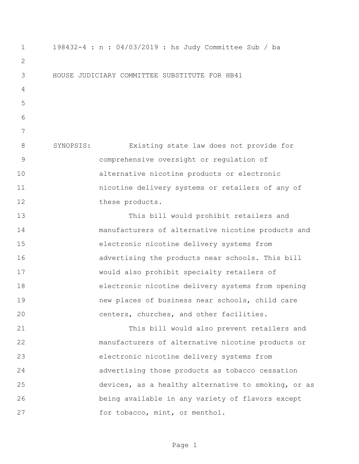198432-4 : n : 04/03/2019 : hs Judy Committee Sub / ba HOUSE JUDICIARY COMMITTEE SUBSTITUTE FOR HB41 SYNOPSIS: Existing state law does not provide for comprehensive oversight or regulation of alternative nicotine products or electronic nicotine delivery systems or retailers of any of 12 these products. This bill would prohibit retailers and manufacturers of alternative nicotine products and electronic nicotine delivery systems from advertising the products near schools. This bill would also prohibit specialty retailers of electronic nicotine delivery systems from opening new places of business near schools, child care centers, churches, and other facilities. This bill would also prevent retailers and manufacturers of alternative nicotine products or electronic nicotine delivery systems from advertising those products as tobacco cessation devices, as a healthy alternative to smoking, or as being available in any variety of flavors except 27 for tobacco, mint, or menthol.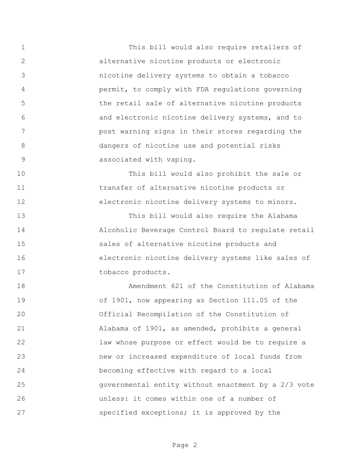This bill would also require retailers of alternative nicotine products or electronic nicotine delivery systems to obtain a tobacco permit, to comply with FDA regulations governing the retail sale of alternative nicotine products and electronic nicotine delivery systems, and to post warning signs in their stores regarding the dangers of nicotine use and potential risks associated with vaping.

 This bill would also prohibit the sale or transfer of alternative nicotine products or electronic nicotine delivery systems to minors.

 This bill would also require the Alabama Alcoholic Beverage Control Board to regulate retail sales of alternative nicotine products and electronic nicotine delivery systems like sales of 17 tobacco products.

 Amendment 621 of the Constitution of Alabama of 1901, now appearing as Section 111.05 of the Official Recompilation of the Constitution of Alabama of 1901, as amended, prohibits a general law whose purpose or effect would be to require a new or increased expenditure of local funds from becoming effective with regard to a local governmental entity without enactment by a 2/3 vote unless: it comes within one of a number of specified exceptions; it is approved by the

Page 2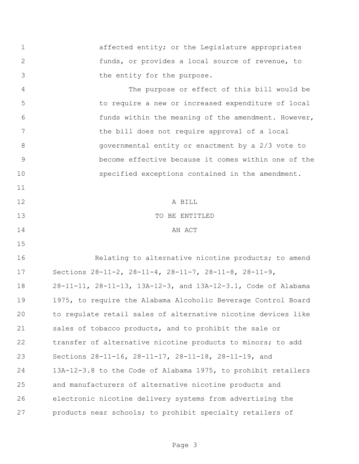affected entity; or the Legislature appropriates funds, or provides a local source of revenue, to 3 the entity for the purpose.

 The purpose or effect of this bill would be to require a new or increased expenditure of local funds within the meaning of the amendment. However, the bill does not require approval of a local governmental entity or enactment by a 2/3 vote to become effective because it comes within one of the specified exceptions contained in the amendment. 

 A BILL TO BE ENTITLED 14 AN ACT

**Relating to alternative nicotine products;** to amend Sections 28-11-2, 28-11-4, 28-11-7, 28-11-8, 28-11-9, 28-11-11, 28-11-13, 13A-12-3, and 13A-12-3.1, Code of Alabama 1975, to require the Alabama Alcoholic Beverage Control Board to regulate retail sales of alternative nicotine devices like 21 sales of tobacco products, and to prohibit the sale or transfer of alternative nicotine products to minors; to add Sections 28-11-16, 28-11-17, 28-11-18, 28-11-19, and 13A-12-3.8 to the Code of Alabama 1975, to prohibit retailers and manufacturers of alternative nicotine products and electronic nicotine delivery systems from advertising the products near schools; to prohibit specialty retailers of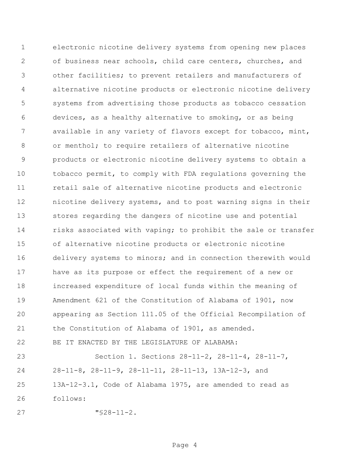electronic nicotine delivery systems from opening new places of business near schools, child care centers, churches, and other facilities; to prevent retailers and manufacturers of alternative nicotine products or electronic nicotine delivery systems from advertising those products as tobacco cessation devices, as a healthy alternative to smoking, or as being available in any variety of flavors except for tobacco, mint, or menthol; to require retailers of alternative nicotine products or electronic nicotine delivery systems to obtain a tobacco permit, to comply with FDA regulations governing the retail sale of alternative nicotine products and electronic nicotine delivery systems, and to post warning signs in their stores regarding the dangers of nicotine use and potential 14 risks associated with vaping; to prohibit the sale or transfer of alternative nicotine products or electronic nicotine delivery systems to minors; and in connection therewith would have as its purpose or effect the requirement of a new or increased expenditure of local funds within the meaning of Amendment 621 of the Constitution of Alabama of 1901, now appearing as Section 111.05 of the Official Recompilation of the Constitution of Alabama of 1901, as amended. BE IT ENACTED BY THE LEGISLATURE OF ALABAMA: Section 1. Sections 28-11-2, 28-11-4, 28-11-7, 28-11-8, 28-11-9, 28-11-11, 28-11-13, 13A-12-3, and

 13A-12-3.1, Code of Alabama 1975, are amended to read as follows:

"§28-11-2.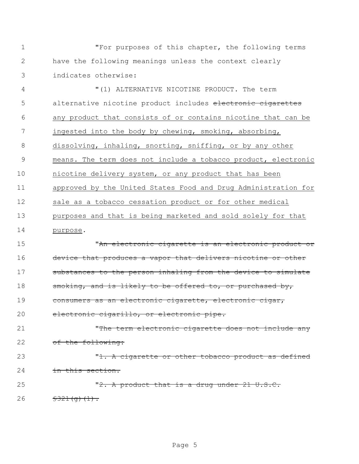1 "For purposes of this chapter, the following terms 2 have the following meanings unless the context clearly 3 indicates otherwise:

 "(1) ALTERNATIVE NICOTINE PRODUCT. The term 5 alternative nicotine product includes electronic cigarettes any product that consists of or contains nicotine that can be ingested into the body by chewing, smoking, absorbing, dissolving, inhaling, snorting, sniffing, or by any other means. The term does not include a tobacco product, electronic nicotine delivery system, or any product that has been approved by the United States Food and Drug Administration for sale as a tobacco cessation product or for other medical purposes and that is being marketed and sold solely for that 14 purpose.

15 "An electronic cigarette is an electronic product or 16 device that produces a vapor that delivers nicotine or other 17 substances to the person inhaling from the device to simulate 18 smoking, and is likely to be offered to, or purchased by, 19 consumers as an electronic cigarette, electronic cigar, 20 electronic cigarillo, or electronic pipe.

21 The term electronic cigarette does not include any 22 of the following: 23 The Millian School and The Contract or other tobacco product as defined

24 in this section.

25 The M2. A product that is a drug under 21 U.S.C. 26  $\frac{1}{5321(q)(1)}$ .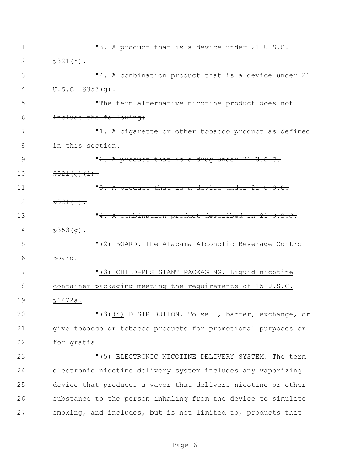| 1  | "3. A product that is a device under 21 U.S.C.                  |
|----|-----------------------------------------------------------------|
| 2  | \$321(h).                                                       |
| 3  | "4. A combination product that is a device under 21             |
| 4  | $U.S.C. $353(q)$ .                                              |
| 5  | "The term alternative nicotine product does not                 |
| 6  | include the following:                                          |
| 7  | " <del>1. A cigarette or other tobacco product as defined</del> |
| 8  | <del>in this section.</del>                                     |
| 9  | " $2$ . A product that is a drug under $21 \text{ U.S.C.}$      |
| 10 | $\frac{2321(q)(1)}{1}$                                          |
| 11 | "3. A product that is a device under 21 U.S.C.                  |
| 12 | \$321(h).                                                       |
| 13 | "4. A combination product described in 21 U.S.C.                |
| 14 | $$353(9)$ .                                                     |
| 15 | "(2) BOARD. The Alabama Alcoholic Beverage Control              |
| 16 | Board.                                                          |
| 17 | "(3) CHILD-RESISTANT PACKAGING. Liquid nicotine                 |
| 18 | container packaging meeting the requirements of 15 U.S.C.       |
| 19 | \$1472a.                                                        |
| 20 | "(3)(4) DISTRIBUTION. To sell, barter, exchange, or             |
| 21 | give tobacco or tobacco products for promotional purposes or    |
| 22 | for gratis.                                                     |
| 23 | ELECTRONIC NICOTINE DELIVERY SYSTEM. The term<br>"(5)           |
| 24 | electronic nicotine delivery system includes any vaporizing     |
| 25 | device that produces a vapor that delivers nicotine or other    |
| 26 | substance to the person inhaling from the device to simulate    |
| 27 | smoking, and includes, but is not limited to, products that     |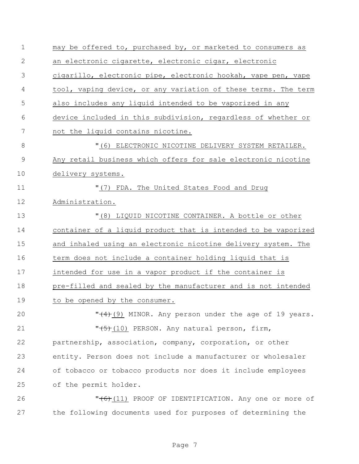| $\mathbf 1$  | may be offered to, purchased by, or marketed to consumers as   |
|--------------|----------------------------------------------------------------|
| $\mathbf{2}$ | an electronic cigarette, electronic cigar, electronic          |
| 3            | cigarillo, electronic pipe, electronic hookah, vape pen, vape  |
| 4            | tool, vaping device, or any variation of these terms. The term |
| 5            | also includes any liquid intended to be vaporized in any       |
| 6            | device included in this subdivision, regardless of whether or  |
| 7            | not the liquid contains nicotine.                              |
| 8            | "(6) ELECTRONIC NICOTINE DELIVERY SYSTEM RETAILER.             |
| 9            | Any retail business which offers for sale electronic nicotine  |
| 10           | delivery systems.                                              |
| 11           | "(7) FDA. The United States Food and Drug                      |
| 12           | Administration.                                                |
| 13           | "(8) LIQUID NICOTINE CONTAINER. A bottle or other              |
| 14           | container of a liquid product that is intended to be vaporized |
| 15           | and inhaled using an electronic nicotine delivery system. The  |
| 16           | term does not include a container holding liquid that is       |
| 17           | intended for use in a vapor product if the container is        |
| 18           | pre-filled and sealed by the manufacturer and is not intended  |
| 19           | to be opened by the consumer.                                  |
| 20           | $"$ (9) MINOR. Any person under the age of 19 years.           |
| 21           | "(5)(10) PERSON. Any natural person, firm,                     |
| 22           | partnership, association, company, corporation, or other       |
| 23           | entity. Person does not include a manufacturer or wholesaler   |
| 24           | of tobacco or tobacco products nor does it include employees   |
| 25           | of the permit holder.                                          |
| 26           | $"$ (11) PROOF OF IDENTIFICATION. Any one or more of           |
| 27           | the following documents used for purposes of determining the   |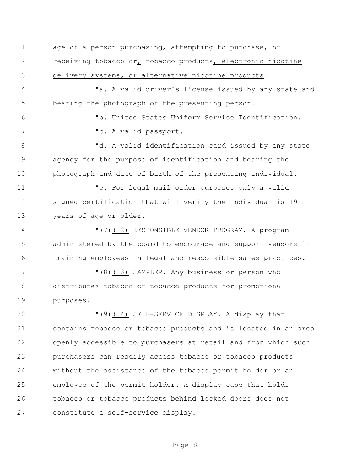age of a person purchasing, attempting to purchase, or 2 receiving tobacco or, tobacco products, electronic nicotine delivery systems, or alternative nicotine products:

 "a. A valid driver's license issued by any state and bearing the photograph of the presenting person.

 "b. United States Uniform Service Identification. "c. A valid passport.

 "d. A valid identification card issued by any state agency for the purpose of identification and bearing the photograph and date of birth of the presenting individual.

 "e. For legal mail order purposes only a valid signed certification that will verify the individual is 19 years of age or older.

14 **T<del>(7)</del>(12) RESPONSIBLE VENDOR PROGRAM.** A program administered by the board to encourage and support vendors in training employees in legal and responsible sales practices.

17 T<del>(8)</del>(13) SAMPLER. Any business or person who distributes tobacco or tobacco products for promotional purposes.

 $\sqrt{(9+1)^2 + (14)}$  SELF-SERVICE DISPLAY. A display that contains tobacco or tobacco products and is located in an area openly accessible to purchasers at retail and from which such purchasers can readily access tobacco or tobacco products without the assistance of the tobacco permit holder or an employee of the permit holder. A display case that holds tobacco or tobacco products behind locked doors does not constitute a self-service display.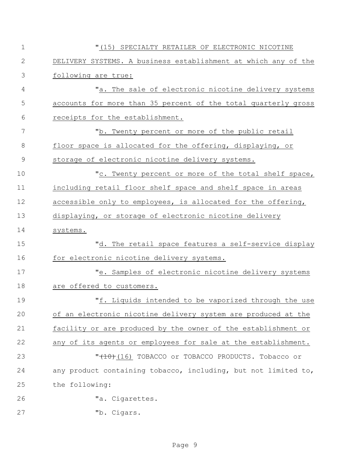| $1\,$        | "(15) SPECIALTY RETAILER OF ELECTRONIC NICOTINE                |
|--------------|----------------------------------------------------------------|
| $\mathbf{2}$ | DELIVERY SYSTEMS. A business establishment at which any of the |
| 3            | following are true:                                            |
| 4            | "a. The sale of electronic nicotine delivery systems           |
| 5            | accounts for more than 35 percent of the total quarterly gross |
| 6            | receipts for the establishment.                                |
| 7            | "b. Twenty percent or more of the public retail                |
| 8            | floor space is allocated for the offering, displaying, or      |
| $\mathsf 9$  | storage of electronic nicotine delivery systems.               |
| 10           | "c. Twenty percent or more of the total shelf space,           |
| 11           | including retail floor shelf space and shelf space in areas    |
| 12           | accessible only to employees, is allocated for the offering,   |
| 13           | displaying, or storage of electronic nicotine delivery         |
| 14           | systems.                                                       |
| 15           | "d. The retail space features a self-service display           |
| 16           | for electronic nicotine delivery systems.                      |
| 17           | "e. Samples of electronic nicotine delivery systems            |
| 18           | are offered to customers.                                      |
| 19           | "f. Liquids intended to be vaporized through the use           |
| 20           | of an electronic nicotine delivery system are produced at the  |
| 21           | facility or are produced by the owner of the establishment or  |
| 22           | any of its agents or employees for sale at the establishment.  |
| 23           | "(10) (16) TOBACCO or TOBACCO PRODUCTS. Tobacco or             |
| 24           | any product containing tobacco, including, but not limited to, |
| 25           | the following:                                                 |
| 26           | "a. Cigarettes.                                                |
| 27           | "b. Cigars.                                                    |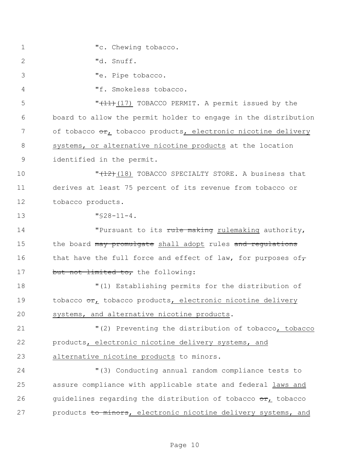1 The U. Chewing tobacco. "d. Snuff. "e. Pipe tobacco. "f. Smokeless tobacco. 5 THE THE THE TOBACCO PERMIT. A permit issued by the board to allow the permit holder to engage in the distribution 7 of tobacco or, tobacco products, electronic nicotine delivery systems, or alternative nicotine products at the location identified in the permit.  $\sqrt{12}$ (18) TOBACCO SPECIALTY STORE. A business that derives at least 75 percent of its revenue from tobacco or tobacco products. "§28-11-4. **The Propensist Community** Tensuant to its rule making rulemaking authority, 15 the board may promulgate shall adopt rules and regulations 16 that have the full force and effect of law, for purposes of, 17 but not limited to, the following: "(1) Establishing permits for the distribution of 19 tobacco or, tobacco products, electronic nicotine delivery systems, and alternative nicotine products. **"**(2) Preventing the distribution of tobacco, tobacco products, electronic nicotine delivery systems, and alternative nicotine products to minors. "(3) Conducting annual random compliance tests to assure compliance with applicable state and federal laws and 26 guidelines regarding the distribution of tobacco  $\sigma r_L$  tobacco 27 products to minors, electronic nicotine delivery systems, and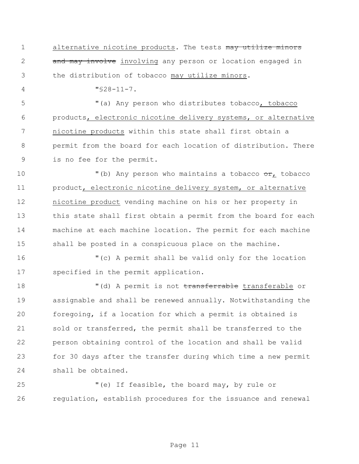1 alternative nicotine products. The tests may utilize minors 2 and may involve involving any person or location engaged in the distribution of tobacco may utilize minors.

"§28-11-7.

 "(a) Any person who distributes tobacco, tobacco products, electronic nicotine delivery systems, or alternative nicotine products within this state shall first obtain a permit from the board for each location of distribution. There is no fee for the permit.

 $\blacksquare$  (b) Any person who maintains a tobacco  $\sigma r_L$  tobacco product, electronic nicotine delivery system, or alternative nicotine product vending machine on his or her property in this state shall first obtain a permit from the board for each machine at each machine location. The permit for each machine shall be posted in a conspicuous place on the machine.

 "(c) A permit shall be valid only for the location specified in the permit application.

18 The Music of the Music of the Music of the Music of the Music of the Music of the Music of the Music of the Music of the Music of the Music of the Music of the Music of the Music of the Music of the Music of the Music o assignable and shall be renewed annually. Notwithstanding the foregoing, if a location for which a permit is obtained is sold or transferred, the permit shall be transferred to the person obtaining control of the location and shall be valid for 30 days after the transfer during which time a new permit shall be obtained.

 "(e) If feasible, the board may, by rule or regulation, establish procedures for the issuance and renewal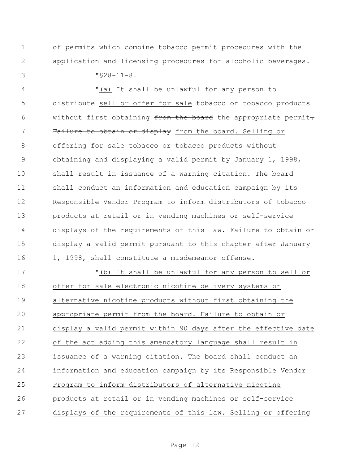of permits which combine tobacco permit procedures with the application and licensing procedures for alcoholic beverages.

"§28-11-8.

 "(a) It shall be unlawful for any person to 5 distribute sell or offer for sale tobacco or tobacco products 6 without first obtaining from the board the appropriate permit. 7 Failure to obtain or display from the board. Selling or offering for sale tobacco or tobacco products without obtaining and displaying a valid permit by January 1, 1998, shall result in issuance of a warning citation. The board shall conduct an information and education campaign by its Responsible Vendor Program to inform distributors of tobacco products at retail or in vending machines or self-service displays of the requirements of this law. Failure to obtain or display a valid permit pursuant to this chapter after January 16 1, 1998, shall constitute a misdemeanor offense.

 "(b) It shall be unlawful for any person to sell or offer for sale electronic nicotine delivery systems or alternative nicotine products without first obtaining the appropriate permit from the board. Failure to obtain or display a valid permit within 90 days after the effective date of the act adding this amendatory language shall result in issuance of a warning citation. The board shall conduct an information and education campaign by its Responsible Vendor Program to inform distributors of alternative nicotine products at retail or in vending machines or self-service displays of the requirements of this law. Selling or offering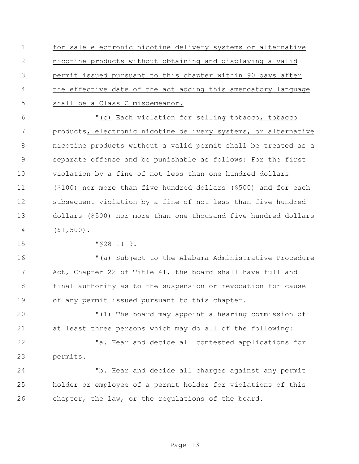for sale electronic nicotine delivery systems or alternative nicotine products without obtaining and displaying a valid permit issued pursuant to this chapter within 90 days after the effective date of the act adding this amendatory language shall be a Class C misdemeanor.

 "(c) Each violation for selling tobacco, tobacco products, electronic nicotine delivery systems, or alternative nicotine products without a valid permit shall be treated as a separate offense and be punishable as follows: For the first violation by a fine of not less than one hundred dollars (\$100) nor more than five hundred dollars (\$500) and for each subsequent violation by a fine of not less than five hundred dollars (\$500) nor more than one thousand five hundred dollars (\$1,500).

"§28-11-9.

 "(a) Subject to the Alabama Administrative Procedure Act, Chapter 22 of Title 41, the board shall have full and final authority as to the suspension or revocation for cause of any permit issued pursuant to this chapter.

 "(1) The board may appoint a hearing commission of at least three persons which may do all of the following:

22 Ta. Hear and decide all contested applications for permits.

 "b. Hear and decide all charges against any permit holder or employee of a permit holder for violations of this chapter, the law, or the regulations of the board.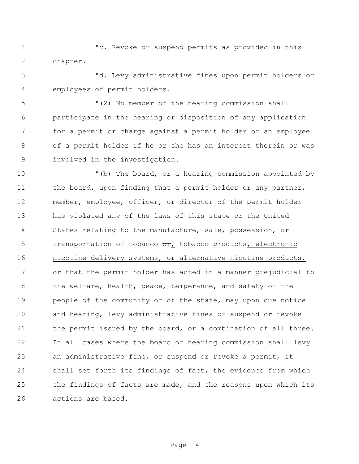"c. Revoke or suspend permits as provided in this chapter.

 "d. Levy administrative fines upon permit holders or employees of permit holders.

 "(2) No member of the hearing commission shall participate in the hearing or disposition of any application for a permit or charge against a permit holder or an employee of a permit holder if he or she has an interest therein or was involved in the investigation.

 "(b) The board, or a hearing commission appointed by 11 the board, upon finding that a permit holder or any partner, member, employee, officer, or director of the permit holder has violated any of the laws of this state or the United States relating to the manufacture, sale, possession, or 15 transportation of tobacco  $\sigma$ r, tobacco products, electronic nicotine delivery systems, or alternative nicotine products, or that the permit holder has acted in a manner prejudicial to 18 the welfare, health, peace, temperance, and safety of the 19 people of the community or of the state, may upon due notice and hearing, levy administrative fines or suspend or revoke 21 the permit issued by the board, or a combination of all three. In all cases where the board or hearing commission shall levy an administrative fine, or suspend or revoke a permit, it shall set forth its findings of fact, the evidence from which the findings of facts are made, and the reasons upon which its actions are based.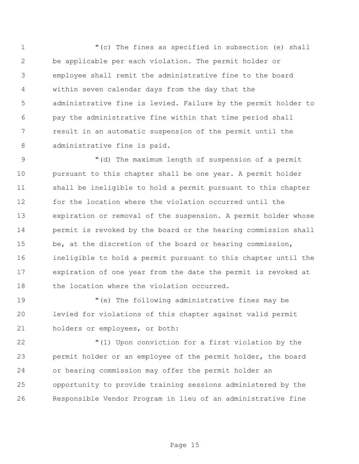"(c) The fines as specified in subsection (e) shall be applicable per each violation. The permit holder or employee shall remit the administrative fine to the board within seven calendar days from the day that the administrative fine is levied. Failure by the permit holder to pay the administrative fine within that time period shall result in an automatic suspension of the permit until the administrative fine is paid.

9 "(d) The maximum length of suspension of a permit pursuant to this chapter shall be one year. A permit holder shall be ineligible to hold a permit pursuant to this chapter for the location where the violation occurred until the expiration or removal of the suspension. A permit holder whose permit is revoked by the board or the hearing commission shall be, at the discretion of the board or hearing commission, ineligible to hold a permit pursuant to this chapter until the expiration of one year from the date the permit is revoked at the location where the violation occurred.

 "(e) The following administrative fines may be levied for violations of this chapter against valid permit holders or employees, or both:

 "(1) Upon conviction for a first violation by the permit holder or an employee of the permit holder, the board or hearing commission may offer the permit holder an opportunity to provide training sessions administered by the Responsible Vendor Program in lieu of an administrative fine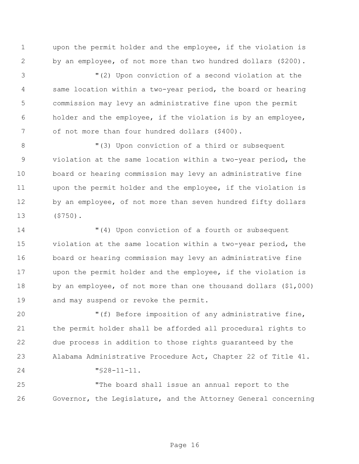upon the permit holder and the employee, if the violation is by an employee, of not more than two hundred dollars (\$200).

 "(2) Upon conviction of a second violation at the same location within a two-year period, the board or hearing commission may levy an administrative fine upon the permit holder and the employee, if the violation is by an employee, of not more than four hundred dollars (\$400).

 "(3) Upon conviction of a third or subsequent violation at the same location within a two-year period, the board or hearing commission may levy an administrative fine upon the permit holder and the employee, if the violation is 12 by an employee, of not more than seven hundred fifty dollars (\$750).

 "(4) Upon conviction of a fourth or subsequent violation at the same location within a two-year period, the board or hearing commission may levy an administrative fine upon the permit holder and the employee, if the violation is by an employee, of not more than one thousand dollars (\$1,000) and may suspend or revoke the permit.

 "(f) Before imposition of any administrative fine, the permit holder shall be afforded all procedural rights to due process in addition to those rights guaranteed by the Alabama Administrative Procedure Act, Chapter 22 of Title 41. "§28-11-11.

 "The board shall issue an annual report to the Governor, the Legislature, and the Attorney General concerning

Page 16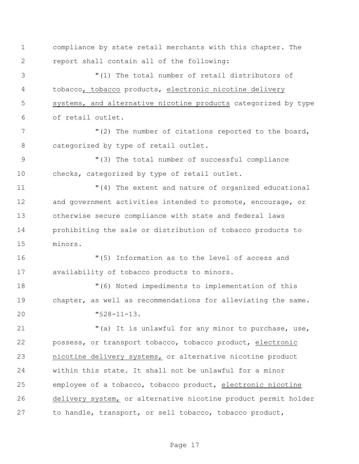compliance by state retail merchants with this chapter. The report shall contain all of the following:

 "(1) The total number of retail distributors of tobacco, tobacco products, electronic nicotine delivery systems, and alternative nicotine products categorized by type of retail outlet.

7 The number of citations reported to the board, categorized by type of retail outlet.

 "(3) The total number of successful compliance checks, categorized by type of retail outlet.

 "(4) The extent and nature of organized educational and government activities intended to promote, encourage, or otherwise secure compliance with state and federal laws prohibiting the sale or distribution of tobacco products to minors.

 "(5) Information as to the level of access and availability of tobacco products to minors.

 "(6) Noted impediments to implementation of this chapter, as well as recommendations for alleviating the same. "§28-11-13.

 "(a) It is unlawful for any minor to purchase, use, possess, or transport tobacco, tobacco product, electronic nicotine delivery systems, or alternative nicotine product within this state. It shall not be unlawful for a minor employee of a tobacco, tobacco product, electronic nicotine delivery system, or alternative nicotine product permit holder to handle, transport, or sell tobacco, tobacco product,

Page 17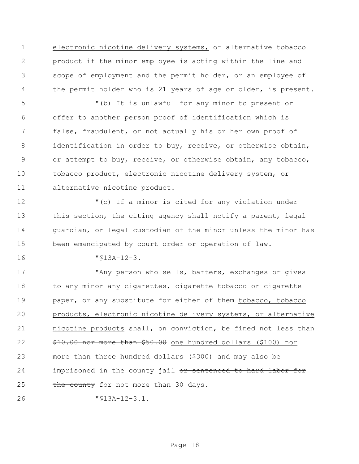electronic nicotine delivery systems, or alternative tobacco product if the minor employee is acting within the line and scope of employment and the permit holder, or an employee of the permit holder who is 21 years of age or older, is present.

 "(b) It is unlawful for any minor to present or offer to another person proof of identification which is false, fraudulent, or not actually his or her own proof of identification in order to buy, receive, or otherwise obtain, or attempt to buy, receive, or otherwise obtain, any tobacco, tobacco product, electronic nicotine delivery system, or alternative nicotine product.

 "(c) If a minor is cited for any violation under 13 this section, the citing agency shall notify a parent, legal guardian, or legal custodian of the minor unless the minor has been emancipated by court order or operation of law.

"§13A-12-3.

17 They person who sells, barters, exchanges or gives 18 to any minor any cigarettes, cigarette tobacco or cigarette **paper, or any substitute for either of them** tobacco, tobacco products, electronic nicotine delivery systems, or alternative nicotine products shall, on conviction, be fined not less than \$10.00 nor more than \$50.00 one hundred dollars (\$100) nor more than three hundred dollars (\$300) and may also be 24 imprisoned in the county jail or sentenced to hard labor for 25 the county for not more than 30 days.

"§13A-12-3.1.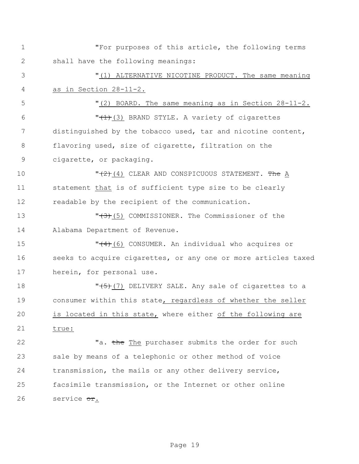"For purposes of this article, the following terms shall have the following meanings: "(1) ALTERNATIVE NICOTINE PRODUCT. The same meaning as in Section 28-11-2. "(2) BOARD. The same meaning as in Section 28-11-2.  $\sqrt{1+(1+(3))}$  BRAND STYLE. A variety of cigarettes distinguished by the tobacco used, tar and nicotine content, flavoring used, size of cigarette, filtration on the cigarette, or packaging.  $\sqrt{2}$ (4) CLEAR AND CONSPICUOUS STATEMENT. The A statement that is of sufficient type size to be clearly readable by the recipient of the communication. **T** (5) COMMISSIONER. The Commissioner of the Alabama Department of Revenue. **T** (6) CONSUMER. An individual who acquires or seeks to acquire cigarettes, or any one or more articles taxed herein, for personal use. **T** (7) DELIVERY SALE. Any sale of cigarettes to a consumer within this state, regardless of whether the seller is located in this state, where either of the following are true: 22 Ta. the The purchaser submits the order for such sale by means of a telephonic or other method of voice transmission, the mails or any other delivery service, facsimile transmission, or the Internet or other online 26 service or.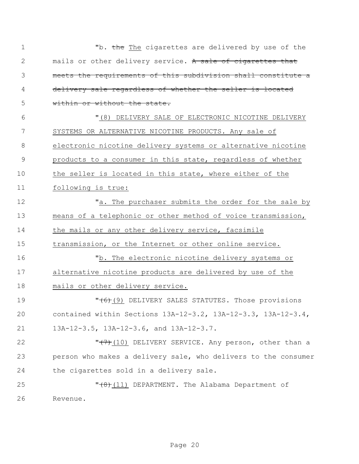| $\mathbf 1$   | "b. the The cigarettes are delivered by use of the             |
|---------------|----------------------------------------------------------------|
| 2             | mails or other delivery service. A sale of cigarettes that     |
| 3             | meets the requirements of this subdivision shall constitute a  |
| 4             | delivery sale regardless of whether the seller is located      |
| 5             | within or without the state.                                   |
| 6             | "(8) DELIVERY SALE OF ELECTRONIC NICOTINE DELIVERY             |
| 7             | SYSTEMS OR ALTERNATIVE NICOTINE PRODUCTS. Any sale of          |
| 8             | electronic nicotine delivery systems or alternative nicotine   |
| $\mathcal{G}$ | products to a consumer in this state, regardless of whether    |
| 10            | the seller is located in this state, where either of the       |
| 11            | following is true:                                             |
| 12            | "a. The purchaser submits the order for the sale by            |
| 13            | means of a telephonic or other method of voice transmission,   |
| 14            | the mails or any other delivery service, facsimile             |
| 15            | transmission, or the Internet or other online service.         |
| 16            | "b. The electronic nicotine delivery systems or                |
| 17            | alternative nicotine products are delivered by use of the      |
| 18            | mails or other delivery service.                               |
| 19            | "(6)(9) DELIVERY SALES STATUTES. Those provisions              |
| 20            | contained within Sections 13A-12-3.2, 13A-12-3.3, 13A-12-3.4,  |
| 21            | 13A-12-3.5, 13A-12-3.6, and 13A-12-3.7.                        |
| 22            | "(7) (10) DELIVERY SERVICE. Any person, other than a           |
| 23            | person who makes a delivery sale, who delivers to the consumer |
| 24            | the cigarettes sold in a delivery sale.                        |
| 25            | $"$ (11) DEPARTMENT. The Alabama Department of                 |
| 26            | Revenue.                                                       |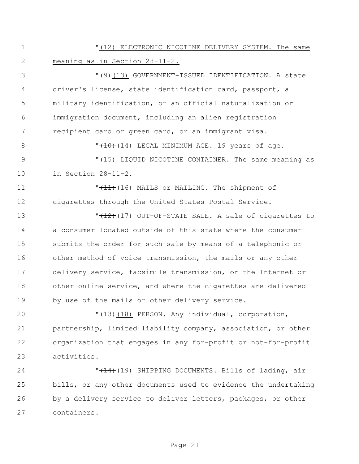"(12) ELECTRONIC NICOTINE DELIVERY SYSTEM. The same meaning as in Section 28-11-2.

3 T<del>(9)</del>(13) GOVERNMENT-ISSUED IDENTIFICATION. A state driver's license, state identification card, passport, a military identification, or an official naturalization or immigration document, including an alien registration recipient card or green card, or an immigrant visa.

8  $\sqrt{10}$  (14) LEGAL MINIMUM AGE. 19 years of age. "(15) LIQUID NICOTINE CONTAINER. The same meaning as in Section 28-11-2.

11 **T**  $''$ <sub>(11)</sub>(16) MAILS or MAILING. The shipment of cigarettes through the United States Postal Service.

 $\sqrt{12}$ (17) OUT-OF-STATE SALE. A sale of cigarettes to a consumer located outside of this state where the consumer submits the order for such sale by means of a telephonic or other method of voice transmission, the mails or any other delivery service, facsimile transmission, or the Internet or other online service, and where the cigarettes are delivered by use of the mails or other delivery service.

 $\sqrt{13}(18)$  PERSON. Any individual, corporation, partnership, limited liability company, association, or other organization that engages in any for-profit or not-for-profit activities.

**"**(14)(19) SHIPPING DOCUMENTS. Bills of lading, air bills, or any other documents used to evidence the undertaking by a delivery service to deliver letters, packages, or other containers.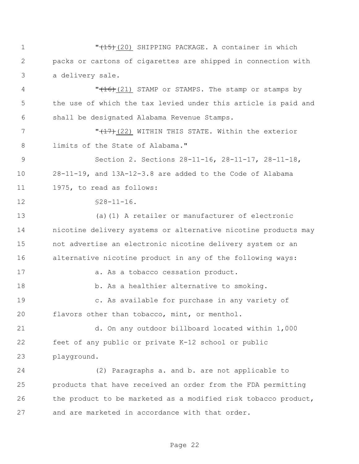**"**(15)(20) SHIPPING PACKAGE. A container in which packs or cartons of cigarettes are shipped in connection with a delivery sale.

4 "(16)(21) STAMP or STAMPS. The stamp or stamps by the use of which the tax levied under this article is paid and shall be designated Alabama Revenue Stamps.

 "(17)(22) WITHIN THIS STATE. Within the exterior limits of the State of Alabama."

 Section 2. Sections 28-11-16, 28-11-17, 28-11-18, 28-11-19, and 13A-12-3.8 are added to the Code of Alabama 1975, to read as follows:

 $\sqrt{28-11-16}$ .

 (a)(1) A retailer or manufacturer of electronic nicotine delivery systems or alternative nicotine products may not advertise an electronic nicotine delivery system or an alternative nicotine product in any of the following ways: 17 a. As a tobacco cessation product. b. As a healthier alternative to smoking. c. As available for purchase in any variety of flavors other than tobacco, mint, or menthol.

 d. On any outdoor billboard located within 1,000 feet of any public or private K-12 school or public playground.

 (2) Paragraphs a. and b. are not applicable to products that have received an order from the FDA permitting the product to be marketed as a modified risk tobacco product, and are marketed in accordance with that order.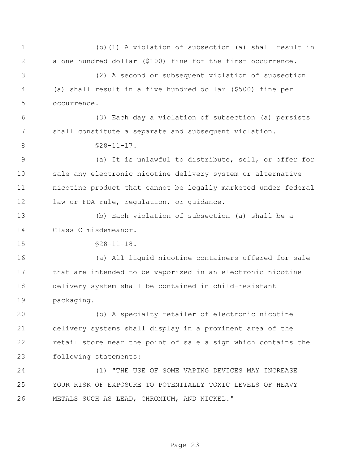(b)(1) A violation of subsection (a) shall result in a one hundred dollar (\$100) fine for the first occurrence. (2) A second or subsequent violation of subsection (a) shall result in a five hundred dollar (\$500) fine per occurrence. (3) Each day a violation of subsection (a) persists shall constitute a separate and subsequent violation. 8 \$28-11-17. (a) It is unlawful to distribute, sell, or offer for sale any electronic nicotine delivery system or alternative nicotine product that cannot be legally marketed under federal 12 law or FDA rule, regulation, or guidance. (b) Each violation of subsection (a) shall be a Class C misdemeanor. §28-11-18. (a) All liquid nicotine containers offered for sale that are intended to be vaporized in an electronic nicotine delivery system shall be contained in child-resistant packaging. (b) A specialty retailer of electronic nicotine delivery systems shall display in a prominent area of the retail store near the point of sale a sign which contains the following statements: (1) "THE USE OF SOME VAPING DEVICES MAY INCREASE YOUR RISK OF EXPOSURE TO POTENTIALLY TOXIC LEVELS OF HEAVY METALS SUCH AS LEAD, CHROMIUM, AND NICKEL."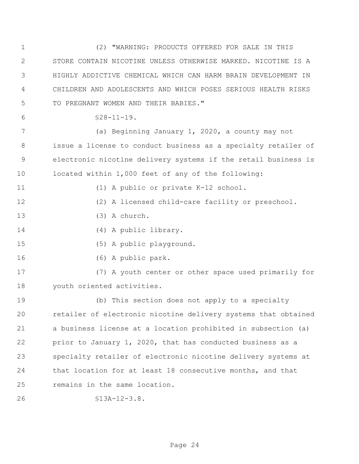(2) "WARNING: PRODUCTS OFFERED FOR SALE IN THIS STORE CONTAIN NICOTINE UNLESS OTHERWISE MARKED. NICOTINE IS A HIGHLY ADDICTIVE CHEMICAL WHICH CAN HARM BRAIN DEVELOPMENT IN CHILDREN AND ADOLESCENTS AND WHICH POSES SERIOUS HEALTH RISKS TO PREGNANT WOMEN AND THEIR BABIES."  $6 \leq 28-11-19$ . (a) Beginning January 1, 2020, a county may not issue a license to conduct business as a specialty retailer of electronic nicotine delivery systems if the retail business is located within 1,000 feet of any of the following: 11 (1) A public or private K-12 school. (2) A licensed child-care facility or preschool. (3) A church. (4) A public library. (5) A public playground. (6) A public park. (7) A youth center or other space used primarily for youth oriented activities. (b) This section does not apply to a specialty retailer of electronic nicotine delivery systems that obtained a business license at a location prohibited in subsection (a) prior to January 1, 2020, that has conducted business as a specialty retailer of electronic nicotine delivery systems at that location for at least 18 consecutive months, and that remains in the same location. §13A-12-3.8.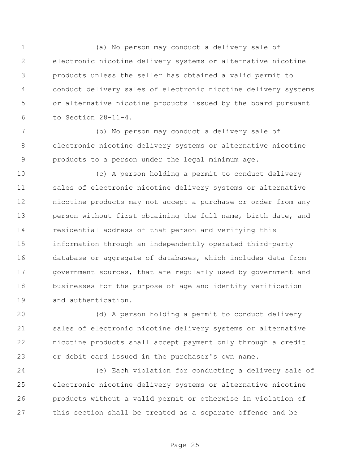(a) No person may conduct a delivery sale of electronic nicotine delivery systems or alternative nicotine products unless the seller has obtained a valid permit to conduct delivery sales of electronic nicotine delivery systems or alternative nicotine products issued by the board pursuant to Section 28-11-4.

 (b) No person may conduct a delivery sale of electronic nicotine delivery systems or alternative nicotine products to a person under the legal minimum age.

 (c) A person holding a permit to conduct delivery sales of electronic nicotine delivery systems or alternative nicotine products may not accept a purchase or order from any person without first obtaining the full name, birth date, and residential address of that person and verifying this information through an independently operated third-party database or aggregate of databases, which includes data from 17 government sources, that are regularly used by government and businesses for the purpose of age and identity verification and authentication.

 (d) A person holding a permit to conduct delivery sales of electronic nicotine delivery systems or alternative nicotine products shall accept payment only through a credit or debit card issued in the purchaser's own name.

 (e) Each violation for conducting a delivery sale of electronic nicotine delivery systems or alternative nicotine products without a valid permit or otherwise in violation of this section shall be treated as a separate offense and be